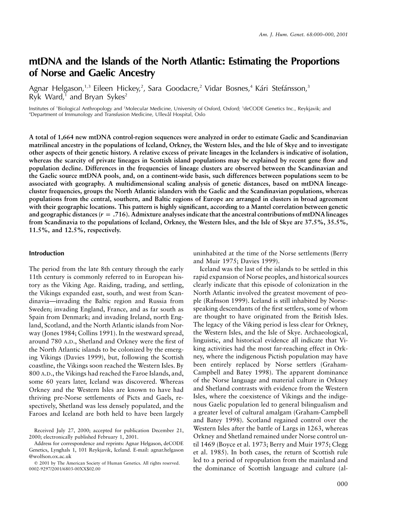# **mtDNA and the Islands of the North Atlantic: Estimating the Proportions of Norse and Gaelic Ancestry**

Agnar Helgason,<sup>1,3</sup> Eileen Hickey,<sup>2</sup>, Sara Goodacre,<sup>2</sup> Vidar Bosnes,<sup>4</sup> Kári Stefánsson,<sup>3</sup> Ryk Ward, $1$  and Bryan Sykes<sup>2</sup>

Institutes of 'Biological Anthropology and <sup>2</sup>Molecular Medicine, University of Oxford, Oxford; <sup>3</sup>deCODE Genetics Inc., Reykjavik; and <sup>4</sup>Department of Immunology and Transfusion Medicine, Ullevål Hospital, Oslo

**A total of 1,664 new mtDNA control-region sequences were analyzed in order to estimate Gaelic and Scandinavian matrilineal ancestry in the populations of Iceland, Orkney, the Western Isles, and the Isle of Skye and to investigate other aspects of their genetic history. A relative excess of private lineages in the Icelanders is indicative of isolation, whereas the scarcity of private lineages in Scottish island populations may be explained by recent gene flow and population decline. Differences in the frequencies of lineage clusters are observed between the Scandinavian and the Gaelic source mtDNA pools, and, on a continent-wide basis, such differences between populations seem to be associated with geography. A multidimensional scaling analysis of genetic distances, based on mtDNA lineagecluster frequencies, groups the North Atlantic islanders with the Gaelic and the Scandinavian populations, whereas populations from the central, southern, and Baltic regions of Europe are arranged in clusters in broad agreement with their geographic locations. This pattern is highly significant, according to a Mantel correlation between genetic** and geographic distances ( $r = .716$ ). Admixture analyses indicate that the ancestral contributions of mtDNA lineages **from Scandinavia to the populations of Iceland, Orkney, the Western Isles, and the Isle of Skye are 37.5%, 35.5%, 11.5%, and 12.5%, respectively.**

#### **Introduction**

The period from the late 8th century through the early 11th century is commonly referred to in European history as the Viking Age. Raiding, trading, and settling, the Vikings expanded east, south, and west from Scandinavia—invading the Baltic region and Russia from Sweden; invading England, France, and as far south as Spain from Denmark; and invading Ireland, north England, Scotland, and the North Atlantic islands from Norway (Jones 1984; Collins 1991). In the westward spread, around 780 A.D., Shetland and Orkney were the first of the North Atlantic islands to be colonized by the emerging Vikings (Davies 1999), but, following the Scottish coastline, the Vikings soon reached the Western Isles. By 800 A.D., the Vikings had reached the Faroe Islands, and, some 60 years later, Iceland was discovered. Whereas Orkney and the Western Isles are known to have had thriving pre-Norse settlements of Picts and Gaels, respectively, Shetland was less densely populated, and the Faroes and Iceland are both held to have been largely

uninhabited at the time of the Norse settlements (Berry and Muir 1975; Davies 1999).

Iceland was the last of the islands to be settled in this rapid expansion of Norse peoples, and historical sources clearly indicate that this episode of colonization in the North Atlantic involved the greatest movement of people (Rafnson 1999). Iceland is still inhabited by Norsespeaking descendants of the first settlers, some of whom are thought to have originated from the British Isles. The legacy of the Viking period is less clear for Orkney, the Western Isles, and the Isle of Skye. Archaeological, linguistic, and historical evidence all indicate that Viking activities had the most far-reaching effect in Orkney, where the indigenous Pictish population may have been entirely replaced by Norse settlers (Graham-Campbell and Batey 1998). The apparent dominance of the Norse language and material culture in Orkney and Shetland contrasts with evidence from the Western Isles, where the coexistence of Vikings and the indigenous Gaelic population led to general bilingualism and a greater level of cultural amalgam (Graham-Campbell and Batey 1998). Scotland regained control over the Western Isles after the battle of Largs in 1263, whereas Orkney and Shetland remained under Norse control until 1469 (Boyce et al. 1973; Berry and Muir 1975; Clegg et al. 1985). In both cases, the return of Scottish rule led to a period of repopulation from the mainland and the dominance of Scottish language and culture (al-

Received July 27, 2000; accepted for publication December 21, 2000; electronically published February 1, 2001.

Address for correspondence and reprints: Agnar Helgason, deCODE Genetics, Lynghals 1, 101 Reykjavik, Iceland. E-mail: agnar.helgason @wolfson.ox.ac.uk

 $Q$  2001 by The American Society of Human Genetics. All rights reserved. 0002-9297/2001/6803-00XX\$02.00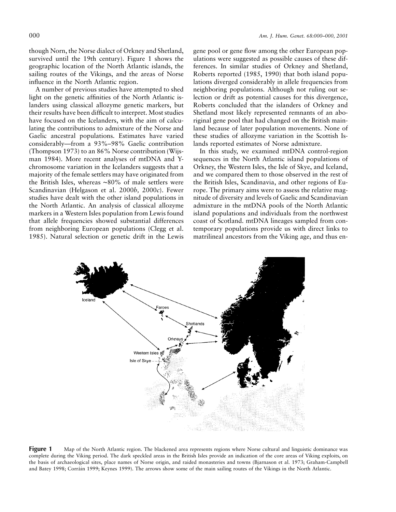though Norn, the Norse dialect of Orkney and Shetland, survived until the 19th century). Figure 1 shows the geographic location of the North Atlantic islands, the sailing routes of the Vikings, and the areas of Norse influence in the North Atlantic region.

A number of previous studies have attempted to shed light on the genetic affinities of the North Atlantic islanders using classical allozyme genetic markers, but their results have been difficult to interpret. Most studies have focused on the Icelanders, with the aim of calculating the contributions to admixture of the Norse and Gaelic ancestral populations. Estimates have varied considerably—from a 93%–98% Gaelic contribution (Thompson 1973) to an 86% Norse contribution (Wijsman 1984). More recent analyses of mtDNA and Ychromosome variation in the Icelanders suggests that a majority of the female settlers may have originated from the British Isles, whereas ∼80% of male settlers were Scandinavian (Helgason et al. 2000*b,* 2000*c*). Fewer studies have dealt with the other island populations in the North Atlantic. An analysis of classical allozyme markers in a Western Isles population from Lewis found that allele frequencies showed substantial differences from neighboring European populations (Clegg et al. 1985). Natural selection or genetic drift in the Lewis

gene pool or gene flow among the other European populations were suggested as possible causes of these differences. In similar studies of Orkney and Shetland, Roberts reported (1985, 1990) that both island populations diverged considerably in allele frequencies from neighboring populations. Although not ruling out selection or drift as potential causes for this divergence, Roberts concluded that the islanders of Orkney and Shetland most likely represented remnants of an aboriginal gene pool that had changed on the British mainland because of later population movements. None of these studies of allozyme variation in the Scottish Islands reported estimates of Norse admixture.

In this study, we examined mtDNA control-region sequences in the North Atlantic island populations of Orkney, the Western Isles, the Isle of Skye, and Iceland, and we compared them to those observed in the rest of the British Isles, Scandinavia, and other regions of Europe. The primary aims were to assess the relative magnitude of diversity and levels of Gaelic and Scandinavian admixture in the mtDNA pools of the North Atlantic island populations and individuals from the northwest coast of Scotland. mtDNA lineages sampled from contemporary populations provide us with direct links to matrilineal ancestors from the Viking age, and thus en-



**Figure 1** Map of the North Atlantic region. The blackened area represents regions where Norse cultural and linguistic dominance was complete during the Viking period. The dark speckled areas in the British Isles provide an indication of the core areas of Viking exploits, on the basis of archaeological sites, place names of Norse origin, and raided monasteries and towns (Bjarnason et al. 1973; Graham-Campbell and Batey 1998; Corráin 1999; Keynes 1999). The arrows show some of the main sailing routes of the Vikings in the North Atlantic.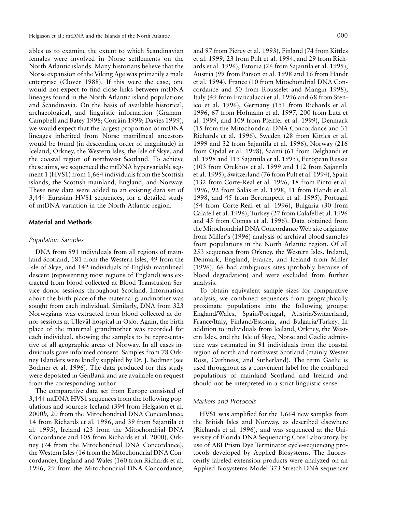ables us to examine the extent to which Scandinavian females were involved in Norse settlements on the North Atlantic islands. Many historians believe that the Norse expansion of the Viking Age was primarily a male enterprise (Clover 1988). If this were the case, one would not expect to find close links between mtDNA lineages found in the North Atlantic island populations and Scandinavia. On the basis of available historical, archaeological, and linguistic information (Graham-Campbell and Batey 1998; Corráin 1999; Davies 1999), we would expect that the largest proportion of mtDNA lineages inherited from Norse matrilineal ancestors would be found (in descending order of magnitude) in Iceland, Orkney, the Western Isles, the Isle of Skye, and the coastal region of northwest Scotland. To achieve these aims, we sequenced the mtDNA hypervariable segment 1 (HVS1) from 1,664 individuals from the Scottish islands, the Scottish mainland, England, and Norway. These new data were added to an existing data set of 3,444 Eurasian HVS1 sequences, for a detailed study of mtDNA variation in the North Atlantic region.

#### **Material and Methods**

#### *Population Samples*

DNA from 891 individuals from all regions of mainland Scotland, 181 from the Western Isles, 49 from the Isle of Skye, and 142 individuals of English matrilineal descent (representing most regions of England) was extracted from blood collected at Blood Transfusion Service donor sessions throughout Scotland. Information about the birth place of the maternal grandmother was sought from each individual. Similarly, DNA from 323 Norwegians was extracted from blood collected at donor sessions at Ullevål hospital in Oslo. Again, the birth place of the maternal grandmother was recorded for each individual, showing the samples to be representative of all geographic areas of Norway. In all cases individuals gave informed consent. Samples from 78 Orkney Islanders were kindly supplied by Dr. J. Bodmer (see Bodmer et al. 1996). The data produced for this study were deposited in GenBank and are available on request from the corresponding author.

The comparative data set from Europe consisted of 3,444 mtDNA HVS1 sequences from the following populations and sources: Iceland (394 from Helgason et al. 2000*b,* 20 from the Mitochondrial DNA Concordance, 14 from Richards et al. 1996, and 39 from Sajantila et al. 1995), Ireland (23 from the Mitochondrial DNA Concordance and 105 from Richards et al. 2000), Orkney (74 from the Mitochondrial DNA Concordance), the Western Isles (16 from the Mitochondrial DNA Concordance), England and Wales (160 from Richards et al. 1996, 29 from the Mitochondrial DNA Concordance,

and 97 from Piercy et al. 1993), Finland (74 from Kittles et al. 1999, 23 from Pult et al. 1994, and 29 from Richards et al. 1996), Estonia (26 from Sajantila et al. 1995), Austria (99 from Parson et al. 1998 and 16 from Handt et al. 1994), France (10 from Mitochondrial DNA Concordance and 50 from Rousselet and Mangin 1998), Italy (49 from Francalacci et al. 1996 and 68 from Stenico et al. 1996), Germany (151 from Richards et al. 1996, 67 from Hofmann et al. 1997, 200 from Lutz et al. 1999, and 109 from Pfeiffer et al. 1999), Denmark (15 from the Mitochondrial DNA Concordance and 31 Richards et al. 1996), Sweden (28 from Kittles et al. 1999 and 32 from Sajantila et al. 1996), Norway (216 from Opdal et al. 1998), Saami (61 from Delghandi et al. 1998 and 115 Sajantila et al. 1995), European Russia (103 from Orekhov et al. 1999 and 112 from Sajantila et al. 1995), Switzerland (76 from Pult et al. 1994), Spain (132 from Corte-Real et al. 1996, 18 from Pinto et al. 1996, 92 from Salas et al. 1998, 11 from Handt et al. 1998, and 45 from Bertranpetit et al. 1995), Portugal (54 from Corte-Real et al. 1996), Bulgaria (30 from Calafell et al. 1996), Turkey (27 from Calafell et al. 1996 and 45 from Comas et al. 1996). Data obtained from the Mitochondrial DNA Concordance Web site originate from Miller's (1996) analysis of archival blood samples from populations in the North Atlantic region. Of all 253 sequences from Orkney, the Western Isles, Ireland, Denmark, England, France, and Iceland from Miller (1996), 66 had ambiguous sites (probably because of blood degradation) and were excluded from further analysis.

To obtain equivalent sample sizes for comparative analysis, we combined sequences from geographically proximate populations into the following groups: England/Wales, Spain/Portugal, Austria/Switzerland, France/Italy, Finland/Estonia, and Bulgaria/Turkey. In addition to individuals from Iceland, Orkney, the Western Isles, and the Isle of Skye, Norse and Gaelic admixture was estimated in 91 individuals from the coastal region of north and northwest Scotland (mainly Wester Ross, Caithness, and Sutherland). The term Gaelic is used throughout as a convenient label for the combined populations of mainland Scotland and Ireland and should not be interpreted in a strict linguistic sense.

## *Markers and Protocols*

HVS1 was amplified for the 1,664 new samples from the British Isles and Norway, as described elsewhere (Richards et al. 1996), and was sequenced at the University of Florida DNA Sequencing Core Laboratory, by use of ABI Prism Dye Terminator cycle-sequencing protocols developed by Applied Biosystems. The fluorescently labeled extension products were analyzed on an Applied Biosystems Model 373 Stretch DNA sequencer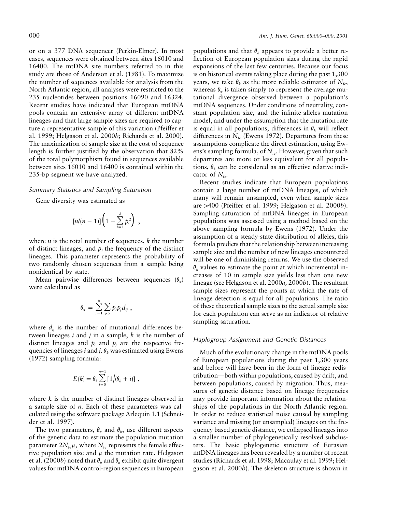or on a 377 DNA sequencer (Perkin-Elmer). In most cases, sequences were obtained between sites 16010 and 16400. The mtDNA site numbers referred to in this study are those of Anderson et al. (1981). To maximize the number of sequences available for analysis from the North Atlantic region, all analyses were restricted to the 235 nucleotides between positions 16090 and 16324. Recent studies have indicated that European mtDNA pools contain an extensive array of different mtDNA lineages and that large sample sizes are required to capture a representative sample of this variation (Pfeiffer et al. 1999; Helgason et al. 2000*b;* Richards et al. 2000). The maximization of sample size at the cost of sequence length is further justified by the observation that 82% of the total polymorphism found in sequences available between sites 16010 and 16400 is contained within the 235-bp segment we have analyzed.

#### *Summary Statistics and Sampling Saturation*

Gene diversity was estimated as

$$
[n/(n-1)]\left(1-\sum_{i=1}^k p_i^2\right) ,
$$

where *n* is the total number of sequences, *k* the number of distinct lineages, and  $p_i$ , the frequency of the distinct lineages. This parameter represents the probability of two randomly chosen sequences from a sample being nonidentical by state.

Mean pairwise differences between sequences  $(\theta_x)$ were calculated as

$$
\theta_{\pi} = \sum_{i=1}^k \sum_{j
$$

where  $d_{ij}$  is the number of mutational differences between lineages *i* and *j* in a sample, *k* is the number of distinct lineages and  $p_i$  and  $p_j$  are the respective frequencies of lineages *i* and *j*.  $\theta_k$  was estimated using Ewens (1972) sampling formula:

$$
E(k) = \theta_k \sum_{i=0}^{n-1} \left[ 1 \Big/ (\theta_k + i) \right] ,
$$

where *k* is the number of distinct lineages observed in a sample size of *n.* Each of these parameters was calculated using the software package Arlequin 1.1 (Schneider et al. 1997).

The two parameters,  $\theta_{\pi}$  and  $\theta_{k}$ , use different aspects of the genetic data to estimate the population mutation parameter  $2N_{\text{fe}}\mu$ , where  $N_{\text{fe}}$  represents the female effective population size and  $\mu$  the mutation rate. Helgason et al. (2000*b*) noted that  $\theta_k$  and  $\theta_{\tau}$  exhibit quite divergent values for mtDNA control-region sequences in European

populations and that  $\theta_k$  appears to provide a better reflection of European population sizes during the rapid expansions of the last few centuries. Because our focus is on historical events taking place during the past 1,300 years, we take  $\theta_k$  as the more reliable estimator of  $N_{\text{fe}}$ , whereas  $\theta_{\pi}$  is taken simply to represent the average mutational divergence observed between a population's mtDNA sequences. Under conditions of neutrality, constant population size, and the infinite-alleles mutation model, and under the assumption that the mutation rate is equal in all populations, differences in  $\theta_k$  will reflect differences in  $N_{fe}$  (Ewens 1972). Departures from these assumptions complicate the direct estimation, using Ewens's sampling formula, of  $N_{\text{fe}}$ . However, given that such departures are more or less equivalent for all populations,  $\theta_k$  can be considered as an effective relative indicator of  $N_{\text{f}_e}$ .

Recent studies indicate that European populations contain a large number of mtDNA lineages, of which many will remain unsampled, even when sample sizes are 1400 (Pfeiffer et al. 1999; Helgason et al. 2000*b*). Sampling saturation of mtDNA lineages in European populations was assessed using a method based on the above sampling formula by Ewens (1972). Under the assumption of a steady-state distribution of alleles, this formula predicts that the relationship between increasing sample size and the number of new lineages encountered will be one of diminishing returns. We use the observed  $\theta_k$  values to estimate the point at which incremental increases of 10 in sample size yields less than one new lineage (see Helgason et al. 2000*a,* 2000*b*). The resultant sample sizes represent the points at which the rate of lineage detection is equal for all populations. The ratio of these theoretical sample sizes to the actual sample size for each population can serve as an indicator of relative sampling saturation.

# *Haplogroup Assignment and Genetic Distances*

Much of the evolutionary change in the mtDNA pools of European populations during the past 1,300 years and before will have been in the form of lineage redistribution—both within populations, caused by drift, and between populations, caused by migration. Thus, measures of genetic distance based on lineage frequencies may provide important information about the relationships of the populations in the North Atlantic region. In order to reduce statistical noise caused by sampling variance and missing (or unsampled) lineages on the frequency based genetic distance, we collapsed lineages into a smaller number of phylogenetically resolved subclusters. The basic phylogenetic structure of Eurasian mtDNA lineages has been revealed by a number of recent studies (Richards et al. 1998; Macaulay et al. 1999; Helgason et al. 2000*b*). The skeleton structure is shown in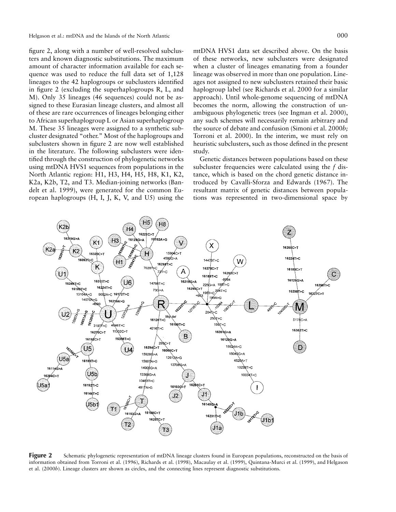Helgason et al.: mtDNA and the Islands of the North Atlantic 000

figure 2, along with a number of well-resolved subclusters and known diagnostic substitutions. The maximum amount of character information available for each sequence was used to reduce the full data set of 1,128 lineages to the 42 haplogroups or subclusters identified in figure 2 (excluding the superhaplogroups R, L, and M). Only 35 lineages (46 sequences) could not be assigned to these Eurasian lineage clusters, and almost all of these are rare occurrences of lineages belonging either to African superhaplogroup L or Asian superhaplogroup M. These 35 lineages were assigned to a synthetic subcluster designated "other." Most of the haplogroups and subclusters shown in figure 2 are now well established in the literature. The following subclusters were identified through the construction of phylogenetic networks using mtDNA HVS1 sequences from populations in the North Atlantic region: H1, H3, H4, H5, H8, K1, K2, K2a, K2b, T2, and T3. Median-joining networks (Bandelt et al. 1999), were generated for the common European haplogroups (H, I, J, K, V, and U5) using the

mtDNA HVS1 data set described above. On the basis of these networks, new subclusters were designated when a cluster of lineages emanating from a founder lineage was observed in more than one population. Lineages not assigned to new subclusters retained their basic haplogroup label (see Richards et al. 2000 for a similar approach). Until whole-genome sequencing of mtDNA becomes the norm, allowing the construction of unambiguous phylogenetic trees (see Ingman et al. 2000), any such schemes will necessarily remain arbitrary and the source of debate and confusion (Simoni et al. 2000*b;* Torroni et al. 2000). In the interim, we must rely on heuristic subclusters, such as those defined in the present study.

Genetic distances between populations based on these subcluster frequencies were calculated using the *f* distance, which is based on the chord genetic distance introduced by Cavalli-Sforza and Edwards (1967). The resultant matrix of genetic distances between populations was represented in two-dimensional space by

**Figure 2** Schematic phylogenetic representation of mtDNA lineage clusters found in European populations, reconstructed on the basis of information obtained from Torroni et al. (1996), Richards et al. (1998), Macaulay et al. (1999), Quintana-Murci et al. (1999), and Helgason et al. (2000*b*). Lineage clusters are shown as circles, and the connecting lines represent diagnostic substitutions.

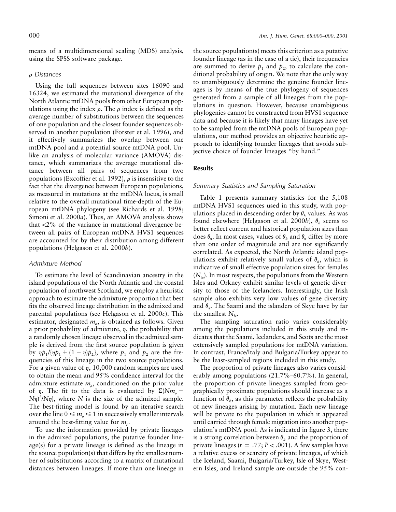means of a multidimensional scaling (MDS) analysis, using the SPSS software package.

#### r *Distances*

Using the full sequences between sites 16090 and 16324, we estimated the mutational divergence of the North Atlantic mtDNA pools from other European populations using the index  $\rho$ . The  $\rho$  index is defined as the average number of substitutions between the sequences of one population and the closest founder sequences observed in another population (Forster et al. 1996), and it effectively summarizes the overlap between one mtDNA pool and a potential source mtDNA pool. Unlike an analysis of molecular variance (AMOVA) distance, which summarizes the average mutational distance between all pairs of sequences from two populations (Excoffier et al. 1992),  $\rho$  is insensitive to the fact that the divergence between European populations, as measured in mutations at the mtDNA locus, is small relative to the overall mutational time-depth of the European mtDNA phylogeny (see Richards et al. 1998; Simoni et al. 2000*a*). Thus, an AMOVA analysis shows that  $\langle 2\%$  of the variance in mutational divergence between all pairs of European mtDNA HVS1 sequences are accounted for by their distribution among different populations (Helgason et al. 2000*b*).

# *Admixture Method*

To estimate the level of Scandinavian ancestry in the island populations of the North Atlantic and the coastal population of northwest Scotland, we employ a heuristic approach to estimate the admixture proportion that best fits the observed lineage distribution in the admixed and parental populations (see Helgason et al. 2000*c*). This estimator, designated  $m_e$ , is obtained as follows. Given a prior probability of admixture,  $\eta$ , the probability that a randomly chosen lineage observed in the admixed sample is derived from the first source population is given by  $\eta p_1 / \eta p_1 + (1 - \eta)p_2$ , where  $p_1$  and  $p_2$  are the frequencies of this lineage in the two source populations. For a given value of  $\eta$ , 10,000 random samples are used to obtain the mean and 95% confidence interval for the admixture estimate  $m<sub>o</sub>$ , conditioned on the prior value of  $\eta$ . The fit to the data is evaluated by  $\Sigma(Nm_{\rho}$  –  $(N\eta)^2/N\eta$ , where *N* is the size of the admixed sample. The best-fitting model is found by an iterative search over the line  $0 \le m_{\rho} \le 1$  in successively smaller intervals around the best-fitting value for  $m<sub>o</sub>$ .

To use the information provided by private lineages in the admixed populations, the putative founder lineage(s) for a private lineage is defined as the lineage in the source population(s) that differs by the smallest number of substitutions according to a matrix of mutational distances between lineages. If more than one lineage in

the source population(s) meets this criterion as a putative founder lineage (as in the case of a tie), their frequencies are summed to derive  $p_1$  and  $p_2$ , to calculate the conditional probability of origin. We note that the only way to unambiguously determine the genuine founder lineages is by means of the true phylogeny of sequences generated from a sample of all lineages from the populations in question. However, because unambiguous phylogenies cannot be constructed from HVS1 sequence data and because it is likely that many lineages have yet to be sampled from the mtDNA pools of European populations, our method provides an objective heuristic approach to identifying founder lineages that avoids subjective choice of founder lineages "by hand."

## **Results**

#### *Summary Statistics and Sampling Saturation*

Table 1 presents summary statistics for the 5,108 mtDNA HVS1 sequences used in this study, with populations placed in descending order by  $\theta_k$  values. As was found elsewhere (Helgason et al. 2000*b*),  $\theta_k$  seems to better reflect current and historical population sizes than does  $\theta_{\tau}$ . In most cases, values of  $\theta_{\mu}$  and  $\theta_{\tau}$  differ by more than one order of magnitude and are not significantly correlated. As expected, the North Atlantic island populations exhibit relatively small values of  $\theta_k$ , which is indicative of small effective population sizes for females  $(N_{\text{fe}})$ . In most respects, the populations from the Western Isles and Orkney exhibit similar levels of genetic diversity to those of the Icelanders. Interestingly, the Irish sample also exhibits very low values of gene diversity and  $\theta_{\pi}$ . The Saami and the islanders of Skye have by far the smallest  $N_{\text{fe}}$ .

The sampling saturation ratio varies considerably among the populations included in this study and indicates that the Saami, Icelanders, and Scots are the most extensively sampled populations for mtDNA variation. In contrast, France/Italy and Bulgaria/Turkey appear to be the least-sampled regions included in this study.

The proportion of private lineages also varies considerably among populations (21.7%–60.7%). In general, the proportion of private lineages sampled from geographically proximate populations should increase as a function of  $\theta_k$ , as this parameter reflects the probability of new lineages arising by mutation. Each new lineage will be private to the population in which it appeared until carried through female migration into another population's mtDNA pool. As is indicated in figure 3, there is a strong correlation between  $\theta_k$  and the proportion of private lineages  $(r = .77; P < .001)$ . A few samples have a relative excess or scarcity of private lineages, of which the Iceland, Saami, Bulgaria/Turkey, Isle of Skye, Western Isles, and Ireland sample are outside the 95% con-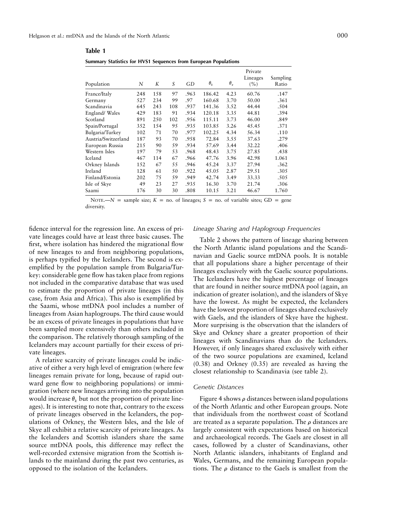| 000 |
|-----|
|     |
|     |

| Population          | N   | K   | S   | GD   | $\theta_{k}$ | $\theta_{\pi}$ | Private<br>Lineages<br>(%) | Sampling<br>Ratio |
|---------------------|-----|-----|-----|------|--------------|----------------|----------------------------|-------------------|
| France/Italy        | 248 | 158 | 97  | .963 | 186.42       | 4.23           | 60.76                      | .147              |
| Germany             | 527 | 234 | 99  | .97  | 160.68       | 3.70           | 50.00                      | .361              |
| Scandinavia         | 645 | 243 | 108 | .937 | 141.36       | 3.52           | 44.44                      | .504              |
| England/Wales       | 429 | 183 | 91  | .934 | 120.18       | 3.35           | 44.81                      | .394              |
| Scotland            | 891 | 250 | 102 | .956 | 115.11       | 3.73           | 46.00                      | .849              |
| Spain/Portugal      | 352 | 154 | 95  | .935 | 103.85       | 3.26           | 45.45                      | .371              |
| Bulgaria/Turkey     | 102 | 71  | 70  | .977 | 102.25       | 4.34           | 56.34                      | .110              |
| Austria/Switzerland | 187 | 93  | 70  | .958 | 72.84        | 3.55           | 37.63                      | .279              |
| European Russia     | 215 | 90  | 59  | .934 | 57.69        | 3.44           | 32.22                      | .406              |
| Western Isles       | 197 | 79  | 53  | .968 | 48.43        | 3.75           | 27.85                      | .438              |
| Iceland             | 467 | 114 | 67  | .966 | 47.76        | 3.96           | 42.98                      | 1.061             |
| Orkney Islands      | 152 | 67  | 55  | .946 | 45.24        | 3.37           | 27.94                      | .362              |
| Ireland             | 128 | 61  | 50  | .922 | 45.05        | 2.87           | 29.51                      | .305              |
| Finland/Estonia     | 202 | 75  | 59  | .949 | 42.74        | 3.49           | 33.33                      | .505              |
| Isle of Skye        | 49  | 23  | 27  | .935 | 16.30        | 3.70           | 21.74                      | .306              |
| Saami               | 176 | 30  | 30  | .808 | 10.15        | 3.21           | 46.67                      | 1.760             |
|                     |     |     |     |      |              |                |                            |                   |

#### **Table 1**

**Summary Statistics for HVS1 Sequences from European Populations**

NOTE.— $N =$  sample size;  $K =$  no. of lineages;  $S =$  no. of variable sites; GD = gene diversity.

fidence interval for the regression line. An excess of private lineages could have at least three basic causes. The first, where isolation has hindered the migrational flow of new lineages to and from neighboring populations, is perhaps typified by the Icelanders. The second is exemplified by the population sample from Bulgaria/Turkey: considerable gene flow has taken place from regions not included in the comparative database that was used to estimate the proportion of private lineages (in this case, from Asia and Africa). This also is exemplified by the Saami, whose mtDNA pool includes a number of lineages from Asian haplogroups. The third cause would be an excess of private lineages in populations that have been sampled more extensively than others included in the comparison. The relatively thorough sampling of the Icelanders may account partially for their excess of private lineages.

A relative scarcity of private lineages could be indicative of either a very high level of emigration (where few lineages remain private for long, because of rapid outward gene flow to neighboring populations) or immigration (where new lineages arriving into the population would increase  $\theta_k$  but not the proportion of private lineages). It is interesting to note that, contrary to the excess of private lineages observed in the Icelanders, the populations of Orkney, the Western Isles, and the Isle of Skye all exhibit a relative scarcity of private lineages. As the Icelanders and Scottish islanders share the same source mtDNA pools, this difference may reflect the well-recorded extensive migration from the Scottish islands to the mainland during the past two centuries, as opposed to the isolation of the Icelanders.

## *Lineage Sharing and Haplogroup Frequencies*

Table 2 shows the pattern of lineage sharing between the North Atlantic island populations and the Scandinavian and Gaelic source mtDNA pools. It is notable that all populations share a higher percentage of their lineages exclusively with the Gaelic source populations. The Icelanders have the highest percentage of lineages that are found in neither source mtDNA pool (again, an indication of greater isolation), and the islanders of Skye have the lowest. As might be expected, the Icelanders have the lowest proportion of lineages shared exclusively with Gaels, and the islanders of Skye have the highest. More surprising is the observation that the islanders of Skye and Orkney share a greater proportion of their lineages with Scandinavians than do the Icelanders. However, if only lineages shared exclusively with either of the two source populations are examined, Iceland (0.38) and Orkney (0.35) are revealed as having the closest relationship to Scandinavia (see table 2).

#### *Genetic Distances*

Figure 4 shows  $\rho$  distances between island populations of the North Atlantic and other European groups. Note that individuals from the northwest coast of Scotland are treated as a separate population. The  $\rho$  distances are largely consistent with expectations based on historical and archaeological records. The Gaels are closest in all cases, followed by a cluster of Scandinavians, other North Atlantic islanders, inhabitants of England and Wales, Germans, and the remaining European populations. The  $\rho$  distance to the Gaels is smallest from the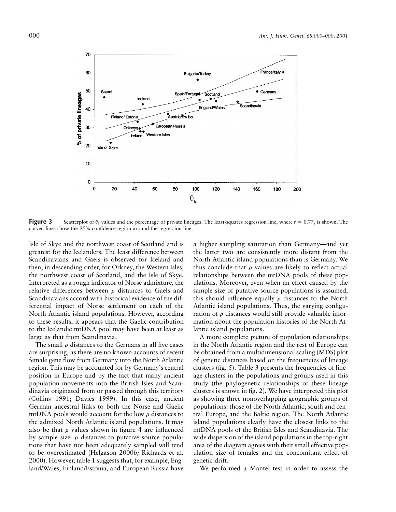

**Figure 3** Scatterplot of  $\theta_k$  values and the percentage of private lineages. The least-squares regression line, where  $r = 0.77$ , is shown. The curved lines show the 95% confidence region around the regression line.

Isle of Skye and the northwest coast of Scotland and is greatest for the Icelanders. The least difference between Scandinavians and Gaels is observed for Iceland and then, in descending order, for Orkney, the Western Isles, the northwest coast of Scotland, and the Isle of Skye. Interpreted as a rough indicator of Norse admixture, the relative differences between  $\rho$  distances to Gaels and Scandinavians accord with historical evidence of the differential impact of Norse settlement on each of the North Atlantic island populations. However, according to these results, it appears that the Gaelic contribution to the Icelandic mtDNA pool may have been at least as large as that from Scandinavia.

The small  $\rho$  distances to the Germans in all five cases are surprising, as there are no known accounts of recent female gene flow from Germany into the North Atlantic region. This may be accounted for by Germany's central position in Europe and by the fact that many ancient population movements into the British Isles and Scandinavia originated from or passed through this territory (Collins 1991; Davies 1999). In this case, ancient German ancestral links to both the Norse and Gaelic mtDNA pools would account for the low  $\rho$  distances to the admixed North Atlantic island populations. It may also be that  $\rho$  values shown in figure 4 are influenced by sample size.  $\rho$  distances to putative source populations that have not been adequately sampled will tend to be overestimated (Helgason 2000*b;* Richards et al. 2000). However, table 1 suggests that, for example, England/Wales, Finland/Estonia, and European Russia have

a higher sampling saturation than Germany—and yet the latter two are consistently more distant from the North Atlantic island populations than is Germany. We thus conclude that  $\rho$  values are likely to reflect actual relationships between the mtDNA pools of these populations. Moreover, even when an effect caused by the sample size of putative source populations is assumed, this should influence equally  $\rho$  distances to the North Atlantic island populations. Thus, the varying configuration of  $\rho$  distances would still provide valuable information about the population histories of the North Atlantic island populations.

A more complete picture of population relationships in the North Atlantic region and the rest of Europe can be obtained from a multidimensional scaling (MDS) plot of genetic distances based on the frequencies of lineage clusters (fig. 5). Table 3 presents the frequencies of lineage clusters in the populations and groups used in this study (the phylogenetic relationships of these lineage clusters is shown in fig. 2). We have interpreted this plot as showing three nonoverlapping geographic groups of populations: those of the North Atlantic, south and central Europe, and the Baltic region. The North Atlantic island populations clearly have the closest links to the mtDNA pools of the British Isles and Scandinavia. The wide dispersion of the island populations in the top-right area of the diagram agrees with their small effective population size of females and the concomitant effect of genetic drift.

We performed a Mantel test in order to assess the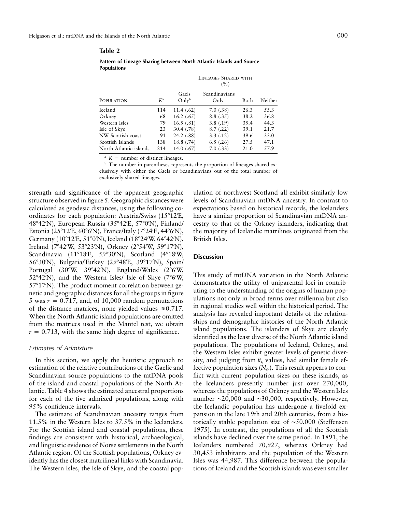**Table 2**

|                        |             | LINEAGES SHARED WITH<br>(%) |                                    |      |         |  |  |  |
|------------------------|-------------|-----------------------------|------------------------------------|------|---------|--|--|--|
| POPULATION             | $K^{\rm a}$ | Gaels<br>Only <sup>b</sup>  | Scandinavians<br>Only <sup>b</sup> | Both | Neither |  |  |  |
| Iceland                | 114         | 11.4(.62)                   | 7.0(0.38)                          | 26.3 | 55.3    |  |  |  |
| Orkney                 | 68          | 16.2(0.65)                  | 8.8(.35)                           | 38.2 | 36.8    |  |  |  |
| Western Isles          | 79          | 16.5(0.81)                  | 3.8(0.19)                          | 35.4 | 44.3    |  |  |  |
| Isle of Skye           | 23          | 30.4(.78)                   | 8.7(0.22)                          | 39.1 | 21.7    |  |  |  |
| NW Scottish coast      | 91          | 24.2 (.88)                  | 3.3(0.12)                          | 39.6 | 33.0    |  |  |  |
| Scottish Islands       | 138         | 18.8 (.74)                  | 6.5(0.26)                          | 27.5 | 47.1    |  |  |  |
| North Atlantic islands | 214         | 14.0(67)                    | 7.0(0.33)                          | 21.0 | 57.9    |  |  |  |
|                        |             |                             |                                    |      |         |  |  |  |

**Pattern of Lineage Sharing between North Atlantic Islands and Source Populations**

 $K =$  number of distinct lineages.

<sup>b</sup> The number in parentheses represents the proportion of lineages shared exclusively with either the Gaels or Scandinavians out of the total number of exclusively shared lineages.

strength and significance of the apparent geographic structure observed in figure 5. Geographic distances were calculated as geodesic distances, using the following coordinates for each population: Austria/Swiss (15°12'E, 48°42'N), European Russia (35°42'E, 57°0'N), Finland/ Estonia (25°12'E, 60°6'N), France/Italy (7°24'E, 44°6'N), Germany (10°12'E, 51°0'N), Iceland (18°24'W, 64°42'N), Ireland (7°42′W, 53°23′N), Orkney (2°54′W, 59°17′N), Scandinavia (11°18'E, 59°30'N), Scotland (4°18'W, 56°30'N), Bulgaria/Turkey (29°48'E, 39°17'N), Spain/ Portugal (30°W, 39°42′N), England/Wales (2°6′W, 52°42'N), and the Western Isles/ Isle of Skye (7°6'W, 57°17'N). The product moment correlation between genetic and geographic distances for all the groups in figure 5 was  $r = 0.717$ , and, of 10,000 random permutations of the distance matrices, none yielded values  $\geq 0.717$ . When the North Atlantic island populations are omitted from the matrices used in the Mantel test, we obtain  $r = 0.713$ , with the same high degree of significance.

#### *Estimates of Admixture*

In this section, we apply the heuristic approach to estimation of the relative contributions of the Gaelic and Scandinavian source populations to the mtDNA pools of the island and coastal populations of the North Atlantic. Table 4 shows the estimated ancestral proportions for each of the five admixed populations, along with 95% confidence intervals.

The estimate of Scandinavian ancestry ranges from 11.5% in the Western Isles to 37.5% in the Icelanders. For the Scottish island and coastal populations, these findings are consistent with historical, archaeological, and linguistic evidence of Norse settlements in the North Atlantic region. Of the Scottish populations, Orkney evidently has the closest matrilineal links with Scandinavia. The Western Isles, the Isle of Skye, and the coastal pop-

ulation of northwest Scotland all exhibit similarly low levels of Scandinavian mtDNA ancestry. In contrast to expectations based on historical records, the Icelanders have a similar proportion of Scandinavian mtDNA ancestry to that of the Orkney islanders, indicating that the majority of Icelandic matrilines originated from the British Isles.

## **Discussion**

This study of mtDNA variation in the North Atlantic demonstrates the utility of uniparental loci in contributing to the understanding of the origins of human populations not only in broad terms over millennia but also in regional studies well within the historical period. The analysis has revealed important details of the relationships and demographic histories of the North Atlantic island populations. The islanders of Skye are clearly identified as the least diverse of the North Atlantic island populations. The populations of Iceland, Orkney, and the Western Isles exhibit greater levels of genetic diversity, and judging from  $\theta_k$  values, had similar female effective population sizes  $(N_{f_e})$ . This result appears to conflict with current population sizes on these islands, as the Icelanders presently number just over 270,000, whereas the populations of Orkney and the Western Isles number ∼20,000 and ∼30,000, respectively. However, the Icelandic population has undergone a fivefold expansion in the late 19th and 20th centuries, from a historically stable population size of ∼50,000 (Steffensen 1975). In contrast, the populations of all the Scottish islands have declined over the same period. In 1891, the Icelanders numbered 70,927, whereas Orkney had 30,453 inhabitants and the population of the Western Isles was 44,987. This difference between the populations of Iceland and the Scottish islands was even smaller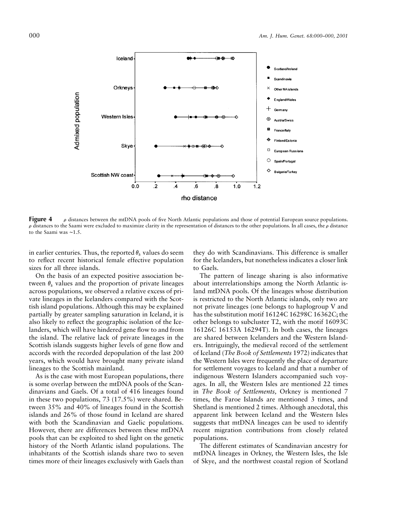

**Figure 4**  $\rho$  distances between the mtDNA pools of five North Atlantic populations and those of potential European source populations.  $\rho$  distances to the Saami were excluded to maximize clarity in the representation of distances to the other populations. In all cases, the  $\rho$  distance to the Saami was ∼1.5.

in earlier centuries. Thus, the reported  $\theta_k$  values do seem to reflect recent historical female effective population sizes for all three islands.

On the basis of an expected positive association between  $\theta_k$  values and the proportion of private lineages across populations, we observed a relative excess of private lineages in the Icelanders compared with the Scottish island populations. Although this may be explained partially by greater sampling saturation in Iceland, it is also likely to reflect the geographic isolation of the Icelanders, which will have hindered gene flow to and from the island. The relative lack of private lineages in the Scottish islands suggests higher levels of gene flow and accords with the recorded depopulation of the last 200 years, which would have brought many private island lineages to the Scottish mainland.

As is the case with most European populations, there is some overlap between the mtDNA pools of the Scandinavians and Gaels. Of a total of 416 lineages found in these two populations, 73 (17.5%) were shared. Between 35% and 40% of lineages found in the Scottish islands and 26% of those found in Iceland are shared with both the Scandinavian and Gaelic populations. However, there are differences between these mtDNA pools that can be exploited to shed light on the genetic history of the North Atlantic island populations. The inhabitants of the Scottish islands share two to seven times more of their lineages exclusively with Gaels than

they do with Scandinavians. This difference is smaller for the Icelanders, but nonetheless indicates a closer link to Gaels.

The pattern of lineage sharing is also informative about interrelationships among the North Atlantic island mtDNA pools. Of the lineages whose distribution is restricted to the North Atlantic islands, only two are not private lineages (one belongs to haplogroup V and has the substitution motif 16124C 16298C 16362C; the other belongs to subcluster T2, with the motif 16093C 16126C 16153A 16294T). In both cases, the lineages are shared between Icelanders and the Western Islanders. Intriguingly, the medieval record of the settlement of Iceland (*The Book of Settlements* 1972) indicates that the Western Isles were frequently the place of departure for settlement voyages to Iceland and that a number of indigenous Western Islanders accompanied such voyages. In all, the Western Isles are mentioned 22 times in *The Book of Settlements,* Orkney is mentioned 7 times, the Faroe Islands are mentioned 3 times, and Shetland is mentioned 2 times. Although anecdotal, this apparent link between Iceland and the Western Isles suggests that mtDNA lineages can be used to identify recent migration contributions from closely related populations.

The different estimates of Scandinavian ancestry for mtDNA lineages in Orkney, the Western Isles, the Isle of Skye, and the northwest coastal region of Scotland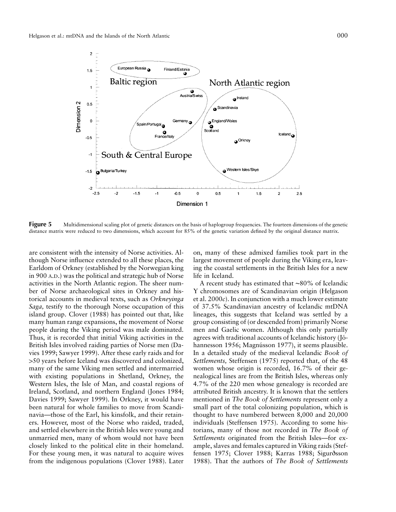

**Figure 5** Multidimensional scaling plot of genetic distances on the basis of haplogroup frequencies. The fourteen dimensions of the genetic distance matrix were reduced to two dimensions, which account for 85% of the genetic variation defined by the original distance matrix.

are consistent with the intensity of Norse activities. Although Norse influence extended to all these places, the Earldom of Orkney (established by the Norwegian king in 900 A.D.) was the political and strategic hub of Norse activities in the North Atlantic region. The sheer number of Norse archaeological sites in Orkney and historical accounts in medieval texts, such as *Orkneyinga Saga,* testify to the thorough Norse occupation of this island group. Clover (1988) has pointed out that, like many human range expansions, the movement of Norse people during the Viking period was male dominated. Thus, it is recorded that initial Viking activities in the British Isles involved raiding parties of Norse men (Davies 1999; Sawyer 1999). After these early raids and for 150 years before Iceland was discovered and colonized, many of the same Viking men settled and intermarried with existing populations in Shetland, Orkney, the Western Isles, the Isle of Man, and coastal regions of Ireland, Scotland, and northern England (Jones 1984; Davies 1999; Sawyer 1999). In Orkney, it would have been natural for whole families to move from Scandinavia—those of the Earl, his kinsfolk, and their retainers. However, most of the Norse who raided, traded, and settled elsewhere in the British Isles were young and unmarried men, many of whom would not have been closely linked to the political elite in their homeland. For these young men, it was natural to acquire wives from the indigenous populations (Clover 1988). Later

on, many of these admixed families took part in the largest movement of people during the Viking era, leaving the coastal settlements in the British Isles for a new life in Iceland.

A recent study has estimated that ∼80% of Icelandic Y chromosomes are of Scandinavian origin (Helgason et al. 2000*c*). In conjunction with a much lower estimate of 37.5% Scandinavian ancestry of Icelandic mtDNA lineages, this suggests that Iceland was settled by a group consisting of (or descended from) primarily Norse men and Gaelic women. Although this only partially agrees with traditional accounts of Icelandic history (Jóhannesson 1956; Magnússon 1977), it seems plausible. In a detailed study of the medieval Icelandic *Book of Settlements,* Steffensen (1975) reported that, of the 48 women whose origin is recorded, 16.7% of their genealogical lines are from the British Isles, whereas only 4.7% of the 220 men whose genealogy is recorded are attributed British ancestry. It is known that the settlers mentioned in *The Book of Settlements* represent only a small part of the total colonizing population, which is thought to have numbered between 8,000 and 20,000 individuals (Steffensen 1975). According to some historians, many of those not recorded in *The Book of Settlements* originated from the British Isles—for example, slaves and females captured in Viking raids (Steffensen 1975; Clover 1988; Karras 1988; Sigurðsson 1988). That the authors of *The Book of Settlements*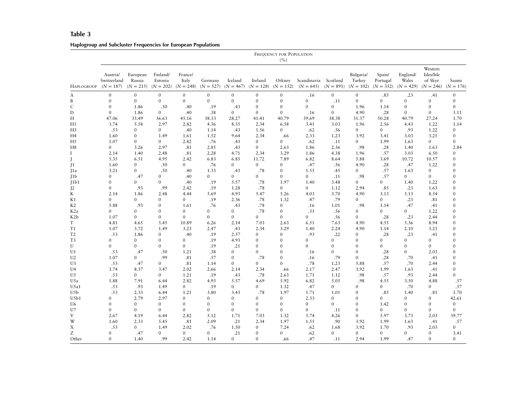#### **Table 3**

# **Haplogroup and Subcluster Frequencies for European Populations**

|                   | FREQUENCY FOR POPULATION<br>(%)        |                    |                                                            |                  |                        |                        |                        |                       |                            |                         |                                    |                                   |                   |                                                             |                      |
|-------------------|----------------------------------------|--------------------|------------------------------------------------------------|------------------|------------------------|------------------------|------------------------|-----------------------|----------------------------|-------------------------|------------------------------------|-----------------------------------|-------------------|-------------------------------------------------------------|----------------------|
| <b>HAPLOGROUP</b> | Austria/<br>Switzerland<br>$(N = 187)$ | European<br>Russia | Finland/<br>Estonia<br>$(N = 215)$ $(N = 202)$ $(N = 248)$ | France/<br>Italy | Germany<br>$(N = 527)$ | Iceland<br>$(N = 467)$ | Ireland<br>$(N = 128)$ | Orkney<br>$(N = 152)$ | Scandinavia<br>$(N = 645)$ | Scotland<br>$(N = 891)$ | Bulgaria/<br>Turkey<br>$(N = 102)$ | Spain/<br>Portugal<br>$(N = 352)$ | England/<br>Wales | Western<br>Isles/Isle<br>of Skye<br>$(N = 429)$ $(N = 246)$ | Saami<br>$(N = 176)$ |
| A                 | $\mathbf{0}$                           | $\mathbf{0}$       | $\mathbf{0}$                                               | $\mathbf{0}$     | $\mathbf{0}$           | $\mathbf{0}$           | $\mathbf{0}$           | $\mathbf{0}$          | .16                        | $\boldsymbol{0}$        | $\boldsymbol{0}$                   | .85                               | .23               | .41                                                         | $\mathbf{0}$         |
| B                 | $\mathbf{0}$                           | $\overline{0}$     | $\mathbf{0}$                                               | $\mathbf{0}$     | $\overline{0}$         | $\mathbf{0}$           | $\mathbf{0}$           | $\mathbf{0}$          | $\mathbf{0}$               | .11                     | $\overline{0}$                     | $\overline{0}$                    | $\mathbf{0}$      | $\mathbf{0}$                                                | $\overline{0}$       |
| $\mathsf{C}$      | $\mathbf{0}$                           | 1.86               | .50                                                        | .40              | .19                    | .43                    | $\Omega$               | $\mathbf{0}$          | $\Omega$                   | $\mathbf{0}$            | 1.96                               | 1.14                              | $\mathbf{0}$      | $\mathbf{0}$                                                | $\Omega$             |
| D                 | $\mathbf{0}$                           | 1.86               | $\mathbf{0}$                                               | .40              | .38                    | $\overline{0}$         | $\mathbf{0}$           | $\mathbf{0}$          | .16                        | $\mathbf{0}$            | 4.90                               | .28                               | $\mathbf{0}$      | $\mathbf{0}$                                                | 5.11                 |
| Н                 | 47.06                                  | 33.49              | 36.63                                                      | 45.16            | 38.33                  | 28.27                  | 41.41                  | 40.79                 | 39.69                      | 38.38                   | 31.37                              | 50.28                             | 40.79             | 27.24                                                       | 1.70                 |
| H1                | 3.74                                   | 5.58               | 2.97                                                       | 2.82             | 4.36                   | 8.35                   | 2.34                   | 6.58                  | 3.41                       | 3.03                    | 1.96                               | 2.56                              | 4.43              | 1.22                                                        | 1.14                 |
| H <sub>3</sub>    | .53                                    | $\Omega$           | $\Omega$                                                   | .40              | 1.14                   | .43                    | 1.56                   | $\Omega$              | .62                        | .56                     | $\overline{0}$                     | $\overline{0}$                    | .93               | 1.22                                                        | $\overline{0}$       |
| H4                | 1.60                                   | $\overline{0}$     | 1.49                                                       | 1.61             | 1.52                   | 9.64                   | 2.34                   | .66                   | 2.33                       | 1.23                    | 3.92                               | 3.41                              | 3.03              | 3.25                                                        | $\mathbf{0}$         |
| H <sub>5</sub>    | 1.07                                   | $\overline{0}$     | $\overline{0}$                                             | 2.82             | .76                    | .43                    | $\mathbf{0}$           | $\overline{0}$        | .62                        | .11                     | $\overline{0}$                     | 1.99                              | 1.63              | $\overline{0}$                                              | $\mathbf{0}$         |
| H <sub>8</sub>    | $\overline{0}$                         | 3.26               | 2.97                                                       | .81              | 2.85                   | .43                    | $\Omega$               | 2.63                  | 1.86                       | 2.36                    | .98                                | .28                               | 1.40              | 1.63                                                        | 2.84                 |
| $\mathbf I$       | 2.14                                   | 1.40               | 2.48                                                       | .81              | 2.28                   | 4.71                   | 2.34                   | 3.29                  | 1.86                       | 4.38                    | 1.96                               | .57                               | 3.03              | 6.50                                                        | $\overline{0}$       |
| J                 | 5.35                                   | 6.51               | 4.95                                                       | 2.42             | 6.83                   | 6.85                   | 11.72                  | 7.89                  | 6.82                       | 8.64                    | 5.88                               | 3.69                              | 10.72             | 10.57                                                       | $\mathbf{0}$         |
| $\mathbf{I}$      | 1.60                                   | $\overline{0}$     | .50                                                        | $\overline{0}$   | .76                    | $\overline{0}$         | $\overline{0}$         | $\mathbf{0}$          | .47                        | .56                     | 4.90                               | .28                               | .47               | 1.22                                                        | $\mathbf{0}$         |
| J1a               | 3.21                                   | $\mathbf{0}$       | .50                                                        | .40              | 1.33                   | .43                    | .78                    | $\mathbf{0}$          | 1.55                       | .45                     | $\overline{0}$                     | .57                               | 1.63              | $\mathbf{0}$                                                | $\Omega$             |
| 11 <sub>b</sub>   | $\mathbf{0}$                           | .47                | $\mathbf{0}$                                               | .40              | $\overline{0}$         | $\overline{0}$         | $\mathbf{0}$           | $\mathbf{0}$          | $\overline{0}$             | .11                     | .98                                | .57                               | $\mathbf{0}$      | $\mathbf{0}$                                                | $\mathbf{0}$         |
| 11b1              | $\overline{0}$                         | $\Omega$           | $\Omega$                                                   | .40              | .19                    | 5.57                   | .78                    | 1.97                  | 1.40                       | 3.48                    | $\overline{0}$                     | $\Omega$                          | 1.40              | 1.22                                                        | $\mathbf{0}$         |
| 12                | $\overline{0}$                         | .93                | .99                                                        | 2.42             | .19                    | 1.28                   | .78                    | $\mathbf{0}$          | $\mathbf{0}$               | 1.12                    | 2.94                               | .85                               | .23               | 1.63                                                        | $\mathbf{0}$         |
| K                 | 2.14                                   | 1.86               | 2.48                                                       | 4.44             | 5.69                   | 4.93                   | 5.47                   | 5.26                  | 4.03                       | 3.70                    | 4.90                               | 3.13                              | 5.13              | 8.54                                                        | $\theta$             |
| K1                | $\overline{0}$                         | $\mathbf{0}$       | $\mathbf{0}$                                               | $\mathbf{0}$     | .19                    | 2.36                   | .78                    | 1.32                  | .47                        | .79                     | 0                                  | $\overline{0}$                    | .23               | .81                                                         | $\mathbf{0}$         |
| K2                | 5.88                                   | .93                | $\mathbf{0}$                                               | 1.61             | .76                    | .43                    | .78                    | $\mathbf{0}$          | .16                        | 1.01                    | .98                                | 1.14                              | .47               | .41                                                         | $\mathbf{0}$         |
| K <sub>2</sub> a  | $\overline{0}$                         | $\Omega$           | $\Omega$                                                   | $\theta$         | $\Omega$               | $\Omega$               | .78                    | $\mathbf{0}$          | .31                        | .56                     | $\mathbf{0}$                       | $\Omega$                          | $\Omega$          | 1.22                                                        | $\mathbf{0}$         |
| K <sub>2</sub> b  | 1.07                                   | $\overline{0}$     | $\mathbf{0}$                                               | $\mathbf{0}$     | $\overline{0}$         | $\sigma$               | $\overline{0}$         | $\mathbf{0}$          | $\overline{0}$             | .56                     | $\overline{0}$                     | .28                               | .23               | 2.44                                                        | $\mathbf{0}$         |
| T                 | 4.81                                   | 4.65               | 5.45                                                       | 10.89            | 6.26                   | 2.14                   | 7.03                   | 2.63                  | 6.51                       | 7.63                    | 4.90                               | 4.55                              | 5.36              | 8.94                                                        | $\mathbf{0}$         |
| T <sub>1</sub>    | 1.07                                   | 3.72               | 1.49                                                       | 3.23             | 2.47                   | .43                    | 2.34                   | 3.29                  | 1.40                       | 2.24                    | 4.90                               | 1.14                              | 2.10              | 3.25                                                        | $\Omega$             |
| T <sub>2</sub>    | .53                                    | 1.86               | $\mathbf{0}$                                               | .40              | .19                    | 2.57                   | $\Omega$               | $\mathbf{0}$          | .93                        | .22                     | $\mathbf{0}$                       | .28                               | .23               | .41                                                         | $\Omega$             |
| T <sub>3</sub>    | $\mathbf{0}$                           | $\mathbf{0}$       | $\mathbf{0}$                                               | $\mathbf{0}$     | .19                    | 4.93                   | $\mathbf{0}$           | $\mathbf{0}$          | $\mathbf{0}$               | $\mathbf{0}$            | $\mathbf{0}$                       | $\mathbf{0}$                      | $\mathbf{0}$      | $\mathbf{0}$                                                | $\Omega$             |
| U                 | $\Omega$                               | $\mathbf{0}$       | $\Omega$                                                   | $\mathbf{0}$     | .19                    | .21                    | $\Omega$               | $\mathbf{0}$          | $\Omega$                   | $\overline{0}$          | $\Omega$                           | $\Omega$                          | $\mathbf{0}$      | $\Omega$                                                    | $\mathbf{0}$         |
| U1                | .53                                    | .47                | .50                                                        | 1.21             | .38                    | $\Omega$               | $\Omega$               | $\theta$              | .16                        | $\overline{0}$          | $\theta$                           | .28                               | $\Omega$          | 2.03                                                        | $\Omega$             |
| U <sub>2</sub>    | 1.07                                   | $\Omega$           | .99                                                        | .81              | .57                    | $\Omega$               | .78                    | $\theta$              | .16                        | .79                     | $\theta$                           | .28                               | .70               | .41                                                         | $\Omega$             |
| U3                | .53                                    | .47                | $\mathbf{0}$                                               | .81              | 1.14                   | $\overline{0}$         | $\mathbf{0}$           | $\Omega$              | .78                        | 1.23                    | 5.88                               | .57                               | .70               | 2.44                                                        | $\mathbf{0}$         |
| U4                | 3.74                                   | 8.37               | 3.47                                                       | 2.02             | 2.66                   | 2.14                   | 2.34                   | .66                   | 2.17                       | 2.47                    | 3.92                               | 1.99                              | 1.63              | .41                                                         | $\mathbf{0}$         |
| U <sub>5</sub>    | .53                                    | $\overline{0}$     | $\overline{0}$                                             | 1.21             | .19                    | .43                    | .78                    | 2.63                  | 1.71                       | 1.12                    | .98                                | .57                               | .93               | 2.44                                                        | $\Omega$             |
| U5a               | 5.88                                   | 7.91               | 6.44                                                       | 2.82             | 4.93                   | 5.57                   | 4.69                   | 5.92                  | 6.82                       | 5.05                    | $.98\,$                            | 4.55                              | 3.50              | 4.88                                                        | .57                  |
| U5a1              | .53                                    | .93                | 1.49                                                       | $\mathbf{0}$     | .19                    | $\overline{0}$         | $\mathbf{0}$           | 1.32                  | .47                        | $\mathbf{0}$            | $\mathbf{0}$                       | $\mathbf{0}$                      | .70               | $\mathbf{0}$                                                | .57                  |
| U5b               | .53                                    | 2.33               | 6.44                                                       | 1.21             | 3.80                   | 3.43                   | .78                    | 1.97                  | 1.71                       | 1.01                    | $\mathbf{0}$                       | .85                               | 1.40              | .81                                                         | 1.70                 |
| U5b1              | $\mathbf{0}$                           | 2.79               | 2.97                                                       | $\mathbf{0}$     | $\Omega$               | $\Omega$               | $\Omega$               | $\mathbf{0}$          | 2.33                       | $\mathbf{0}$            | $\mathbf{0}$                       | $\Omega$                          | $\mathbf{0}$      | $\mathbf{0}$                                                | 42.61                |
| U6                | $\mathbf{0}$                           | $\mathbf{0}$       | $\mathbf{0}$                                               | $\mathbf{0}$     | $\mathbf{0}$           | $\mathbf{0}$           | $\mathbf{0}$           | $\mathbf{0}$          | $\mathbf{0}$               | $\mathbf{0}$            | $\mathbf{0}$                       | 1.42                              | $\mathbf{0}$      | $\mathbf{0}$                                                | $\mathbf{0}$         |
| U7                | $\mathbf{0}$                           | $\mathbf{0}$       | $\mathbf{0}$                                               | $\mathbf{0}$     | $\overline{0}$         | $\mathbf{0}$           | $\mathbf{0}$           | $\overline{0}$        | $\mathbf{0}$               | .11                     | $\mathbf{0}$                       | $\mathbf{0}$                      | $\mathbf{0}$      | $\mathbf{0}$                                                | $\mathbf{0}$         |
| V                 | 2.67                                   | 4.19               | 6.44                                                       | 2.82             | 5.12                   | 1.71                   | 7.03                   | 1.32                  | 5.74                       | 4.26                    | $\mathbf{0}$                       | 5.97                              | 3.73              | 2.03                                                        | 39.77                |
| W                 | 1.60                                   | 2.33               | 5.45                                                       | .81              | 2.09                   | .21                    | 2.34                   | 1.97                  | 1.55                       | .90                     | 3.92                               | 1.99                              | 1.63              | .41                                                         | .57                  |
| X                 | .53                                    | $\mathbf{0}$       | 1.49                                                       | 2.02             | .76                    | 1.50                   | $\mathbf{0}$           | 7.24                  | .62                        | 1.68                    | 3.92                               | 1.70                              | .93               | 2.03                                                        | $\overline{0}$       |
| Ζ                 | $\overline{0}$                         | .47                | $\overline{0}$                                             | $\mathbf{0}$     | $\overline{0}$         | .21                    | $\mathbf{0}$           | $\mathbf{0}$          | .62                        | $\mathbf{0}$            | $\overline{0}$                     | $\mathbf{0}$                      | $\overline{0}$    | $\mathbf{0}$                                                | 3.41                 |
| Other             | $\mathbf{0}$                           | 1.40               | .99                                                        | 2.42             | 1.14                   | $\sigma$               | $\Omega$               | .66                   | .47                        | .11                     | 2.94                               | 1.99                              | .47               | $\mathbf{0}$                                                | $\mathbf{0}$         |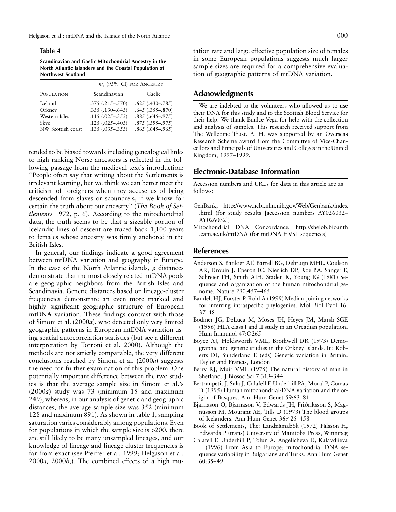Helgason et al.: mtDNA and the Islands of the North Atlantic 000

#### **Table 4**

**Scandinavian and Gaelic Mitochondrial Ancestry in the North Atlantic Islanders and the Coastal Population of Northwest Scotland**

|                   | $mo$ (95% CI) for Ancestry |                     |  |  |  |  |  |
|-------------------|----------------------------|---------------------|--|--|--|--|--|
| POPULATION        | Scandinavian               | Gaelic              |  |  |  |  |  |
| Iceland           | $.375(.215-.570)$          | $.625(.430 - .785)$ |  |  |  |  |  |
| Orkney            | $.355(.130 - .645)$        | $.645(.355-.870)$   |  |  |  |  |  |
| Western Isles     | $.115(.025-.355)$          | $.885(.645-.975)$   |  |  |  |  |  |
| Skye              | $.125(.025-.405)$          | $.875(.595-.975)$   |  |  |  |  |  |
| NW Scottish coast | $.135(.035-.355)$          | $.865(.645-.965)$   |  |  |  |  |  |

tended to be biased towards including genealogical links to high-ranking Norse ancestors is reflected in the following passage from the medieval text's introduction: "People often say that writing about the Settlements is irrelevant learning, but we think we can better meet the criticism of foreigners when they accuse us of being descended from slaves or scoundrels, if we know for certain the truth about our ancestry" (*The Book of Settlements* 1972, p. 6). According to the mitochondrial data, the truth seems to be that a sizeable portion of Icelandic lines of descent are traced back 1,100 years to females whose ancestry was firmly anchored in the British Isles.

In general, our findings indicate a good agreement between mtDNA variation and geography in Europe. In the case of the North Atlantic islands,  $\rho$  distances demonstrate that the most closely related mtDNA pools are geographic neighbors from the British Isles and Scandinavia. Genetic distances based on lineage-cluster frequencies demonstrate an even more marked and highly significant geographic structure of European mtDNA variation. These findings contrast with those of Simoni et al. (2000*a*), who detected only very limited geographic patterns in European mtDNA variation using spatial autocorrelation statistics (but see a different interpretation by Torroni et al. 2000). Although the methods are not strictly comparable, the very different conclusions reached by Simoni et al. (2000*a*) suggests the need for further examination of this problem. One potentially important difference between the two studies is that the average sample size in Simoni et al.'s (2000*a*) study was 73 (minimum 15 and maximum 249), whereas, in our analysis of genetic and geographic distances, the average sample size was 352 (minimum 128 and maximum 891). As shown in table 1, sampling saturation varies considerably among populations. Even for populations in which the sample size is  $>200$ , there are still likely to be many unsampled lineages, and our knowledge of lineage and lineage cluster frequencies is far from exact (see Pfeiffer et al. 1999; Helgason et al. 2000*a,* 2000*b,*). The combined effects of a high mu-

tation rate and large effective population size of females in some European populations suggests much larger sample sizes are required for a comprehensive evaluation of geographic patterns of mtDNA variation.

## **Acknowledgments**

We are indebted to the volunteers who allowed us to use their DNA for this study and to the Scottish Blood Service for their help. We thank Emilce Vega for help with the collection and analysis of samples. This research received support from The Wellcome Trust. A. H. was supported by an Overseas Research Scheme award from the Committee of Vice-Chancellors and Principals of Universities and Colleges in the United Kingdom, 1997–1999.

# **Electronic-Database Information**

Accession numbers and URLs for data in this article are as follows:

- GenBank, http://www.ncbi.nlm.nih.gov/Web/Genbank/index .html (for study results [accession numbers AY026032– AY026032])
- Mitochondrial DNA Concordance, http://shelob.bioanth .cam.ac.uk/mtDNA (for mtDNA HVS1 sequences)

# **References**

- Anderson S, Bankier AT, Barrell BG, Debruijn MHL, Coulson AR, Drouin J, Eperon IC, Nierlich DP, Roe BA, Sanger F, Schreier PH, Smith AJH, Staden R, Young IG (1981) Sequence and organization of the human mitochondrial genome. Nature 290:457–465
- Bandelt HJ, Forster P, Rohl A (1999) Median-joining networks for inferring intraspecific phylogenies. Mol Biol Evol 16: 37–48
- Bodmer JG, DeLuca M, Moses JH, Heyes JM, Marsh SGE (1996) HLA class I and II study in an Orcadian population. Hum Immunol 47:O265
- Boyce AJ, Holdsworth VML, Brothwell DR (1973) Demographic and genetic studies in the Orkney Islands. In: Roberts DF, Sunderland E (eds) Genetic variation in Britain. Taylor and Francis, London
- Berry RJ, Muir VML (1975) The natural history of man in Shetland. J Biosoc Sci 7:319–344
- Bertranpetit J, Sala J, Calafell F, Underhill PA, Moral P, Comas D (1995) Human mitochondrial-DNA variation and the origin of Basques. Ann Hum Genet 59:63–81
- Bjarnason Ó, Bjarnason V, Edwards JH, Friðriksson S, Magnússon M, Mourant AE, Tills D (1973) The blood groups of Icelanders. Ann Hum Genet 36:425–458
- Book of Settlements, The: Landnámabók (1972) Pálsson H, Edwards P (trans) University of Manitoba Press, Winnipeg
- Calafell F, Underhill P, Tolun A, Angelicheva D, Kalaydjieva L (1996) From Asia to Europe: mitochondrial DNA sequence variability in Bulgarians and Turks. Ann Hum Genet 60:35–49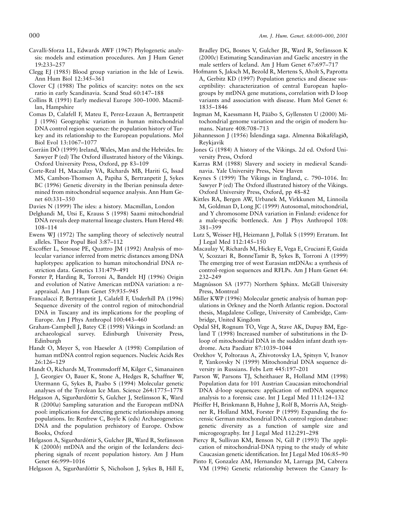- Cavalli-Sforza LL, Edwards AWF (1967) Phylogenetic analysis: models and estimation procedures. Am J Hum Genet 19:233–257
- Clegg EJ (1985) Blood group variation in the Isle of Lewis. Ann Hum Biol 12:345–361
- Clover CJ (1988) The politics of scarcity: notes on the sex ratio in early Scandinavia. Scand Stud 60:147–188
- Collins R (1991) Early medieval Europe 300–1000. Macmillan, Hampshire
- Comas D, Calafell F, Mateu E, Perez-Lezaun A, Bertranpetit J (1996) Geographic variation in human mitochondrial DNA control region sequence: the population history of Turkey and its relationship to the European populations. Mol Biol Evol 13:1067–1077
- Corráin DÓ (1999) Ireland, Wales, Man and the Hebrides. In: Sawyer P (ed) The Oxford illustrated history of the Vikings. Oxford University Press, Oxford, pp 83–109
- Corte-Real H, Macaulay VA, Richards MB, Hariti G, Issad MS, Cambon-Thomsen A, Papiha S, Bertranpetit J, Sykes BC (1996) Genetic diversity in the Iberian peninsula determined from mitochondrial sequence analysis. Ann Hum Genet 60:331–350
- Davies N (1999) The isles: a history. Macmillan, London
- Delghandi M, Utsi E, Krauss S (1998) Saami mitochondrial DNA reveals deep maternal lineage clusters. Hum Hered 48: 108–114
- Ewens WJ (1972) The sampling theory of selectively neutral alleles. Theor Popul Biol 3:87–112
- Excoffier L, Smouse PE, Quattro JM (1992) Analysis of molecular variance inferred from metric distances among DNA haplotypes: application to human mitochondrial DNA restriction data. Genetics 131:479–491
- Forster P, Harding R, Torroni A, Bandelt HJ (1996) Origin and evolution of Native American mtDNA variation: a reappraisal. Am J Hum Genet 59:935–945
- Francalacci P, Bertranpetit J, Calafell F, Underhill PA (1996) Sequence diversity of the control region of mitochondrial DNA in Tuscany and its implications for the peopling of Europe. Am J Phys Anthropol 100:443–460
- Graham-Campbell J, Batey CE (1998) Vikings in Scotland: an archaeological survey. Edinburgh University Press, Edinburgh
- Handt O, Meyer S, von Haeseler A (1998) Compilation of human mtDNA control region sequences. Nucleic Acids Res 26:126–129
- Handt O, Richards M, Trommsdorff M, Kilger C, Simanainen J, Georgiev O, Bauer K, Stone A, Hedges R, Schaffner W, Utermann G, Sykes B, Paabo S (1994) Molecular genetic analyses of the Tyrolean Ice Man. Science 264:1775–1778
- Helgason A, Sigurðardóttir S, Gulcher J, Stefánsson K, Ward R (2000*a*) Sampling saturation and the European mtDNA pool: implications for detecting genetic relationships among populations. In: Renfrew C, Boyle K (eds) Archaeogenetics: DNA and the population prehistory of Europe. Oxbow Books, Oxford
- Helgason A, Sigurðardóttir S, Gulcher JR, Ward R, Stefánsson K (2000*b*) mtDNA and the origin of the Icelanders: deciphering signals of recent population history. Am J Hum Genet 66:999–1016
- Helgason A, Sigurðardóttir S, Nicholson J, Sykes B, Hill E,

Bradley DG, Bosnes V, Gulcher JR, Ward R, Stefánsson K (2000*c*) Estimating Scandinavian and Gaelic ancestry in the male settlers of Iceland. Am J Hum Genet 67:697–717

- Hofmann S, Jaksch M, Bezold R, Mertens S, Aholt S, Paprotta A, Gerbitz KD (1997) Population genetics and disease susceptibility: characterization of central European haplogroups by mtDNA gene mutations, correlation with D loop variants and association with disease. Hum Mol Genet 6: 1835–1846
- Ingman M, Kaessmann H, Pääbo S, Gyllensten U (2000) Mitochondrial genome variation and the origin of modern humans. Nature 408:708–713
- Jóhannesson J (1956) Islendinga saga. Almenna Bókafélagið, Reykjavík
- Jones G (1984) A history of the Vikings. 2d ed. Oxford University Press, Oxford
- Karras RM (1988) Slavery and society in medieval Scandinavia. Yale University Press, New Haven
- Keynes S (1999) The Vikings in England, c. 790–1016. In: Sawyer P (ed) The Oxford illustrated history of the Vikings. Oxford University Press, Oxford, pp 48–82
- Kittles RA, Bergen AW, Urbanek M, Virkkunen M, Linnoila M, Goldman D, Long JC (1999) Autosomal, mitochondrial, and Y chromosome DNA variation in Finland: evidence for a male-specific bottleneck. Am J Phys Anthropol 108: 381–399
- Lutz S, Weisser HJ, Heizmann J, Pollak S (1999) Erratum. Int J Legal Med 112:145–150
- Macaulay V, Richards M, Hickey E, Vega E, Cruciani F, Guida V, Scozzari R, BonneTamir B, Sykes B, Torroni A (1999) The emerging tree of west Eurasian mtDNAs: a synthesis of control-region sequences and RFLPs. Am J Hum Genet 64: 232–249
- Magnússon SA (1977) Northern Sphinx. McGill University Press, Montreal
- Miller KWP (1996) Molecular genetic analysis of human populations in Orkney and the North Atlantic region. Doctoral thesis, Magdalene College, University of Cambridge, Cambridge, United Kingdom
- Opdal SH, Rognum TO, Vege A, Stave AK, Dupuy BM, Egeland T (1998) Increased number of substitutions in the Dloop of mitochondrial DNA in the sudden infant death syndrome. Acta Paediatr 87:1039–1044
- Orekhov V, Poltoraus A, Zhivotovsky LA, Spitsyn V, Ivanov P, Yankovsky N (1999) Mitochondrial DNA sequence diversity in Russians. Febs Lett 445:197–201
- Parson W, Parsons TJ, Scheithauer R, Holland MM (1998) Population data for 101 Austrian Caucasian mitochondrial DNA d-loop sequences: application of mtDNA sequence analysis to a forensic case. Int J Legal Med 111:124–132
- Pfeiffer H, Brinkmann B, Huhne J, Rolf B, Morris AA, Steighner R, Holland MM, Forster P (1999) Expanding the forensic German mitochondrial DNA control region database: genetic diversity as a function of sample size and microgeography. Int J Legal Med 112:291–298
- Piercy R, Sullivan KM, Benson N, Gill P (1993) The application of mitochondrial-DNA typing to the study of white Caucasian genetic identification. Int J Legal Med 106:85–90
- Pinto F, Gonzalez AM, Hernandez M, Larruga JM, Cabrera VM (1996) Genetic relationship between the Canary Is-